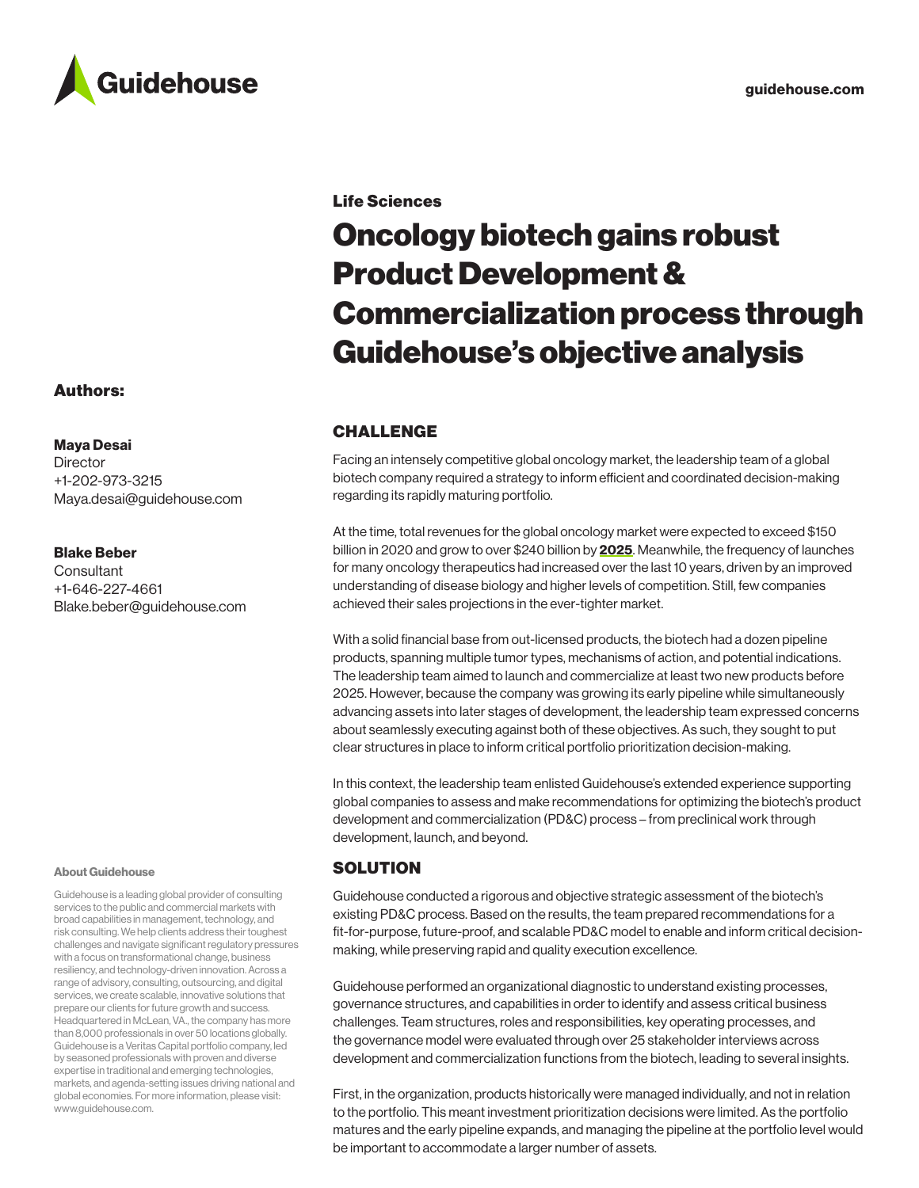

## Authors:

Maya Desai

**Director** +1-202-973-3215 Maya.desai@guidehouse.com

### Blake Beber

**Consultant** +1-646-227-4661 Blake.beber@guidehouse.com

### About Guidehouse

Guidehouse is a leading global provider of consulting services to the public and commercial markets with broad capabilities in management, technology, and risk consulting. We help clients address their toughest challenges and navigate significant regulatory pressures with a focus on transformational change, business resiliency, and technology-driven innovation. Across a range of advisory, consulting, outsourcing, and digital services, we create scalable, innovative solutions that prepare our clients for future growth and success. Headquartered in McLean, VA., the company has more than 8,000 professionals in over 50 locations globally. Guidehouse is a Veritas Capital portfolio company, led by seasoned professionals with proven and diverse expertise in traditional and emerging technologies, markets, and agenda-setting issues driving national and global economies. For more information, please visit: [www.guidehouse.com](http://www.guidehouse.com).

### Life Sciences

# Oncology biotech gains robust Product Development & Commercialization process through Guidehouse's objective analysis

# CHALLENGE

Facing an intensely competitive global oncology market, the leadership team of a global biotech company required a strategy to inform efficient and coordinated decision-making regarding its rapidly maturing portfolio.

At the time, total revenues for the global oncology market were expected to exceed \$150 billion in 2020 and grow to over \$240 billion by [2025](https://www.globenewswire.com/news-release/2020/10/30/2117552/0/en/Global-136-7-Billion-Oncology-Market-to-2025.html). Meanwhile, the frequency of launches for many oncology therapeutics had increased over the last 10 years, driven by an improved understanding of disease biology and higher levels of competition. Still, few companies achieved their sales projections in the ever-tighter market.

With a solid financial base from out-licensed products, the biotech had a dozen pipeline products, spanning multiple tumor types, mechanisms of action, and potential indications. The leadership team aimed to launch and commercialize at least two new products before 2025. However, because the company was growing its early pipeline while simultaneously advancing assets into later stages of development, the leadership team expressed concerns about seamlessly executing against both of these objectives. As such, they sought to put clear structures in place to inform critical portfolio prioritization decision-making.

In this context, the leadership team enlisted Guidehouse's extended experience supporting global companies to assess and make recommendations for optimizing the biotech's product development and commercialization (PD&C) process – from preclinical work through development, launch, and beyond.

## **SOLUTION**

Guidehouse conducted a rigorous and objective strategic assessment of the biotech's existing PD&C process. Based on the results, the team prepared recommendations for a fit-for-purpose, future-proof, and scalable PD&C model to enable and inform critical decisionmaking, while preserving rapid and quality execution excellence.

Guidehouse performed an organizational diagnostic to understand existing processes, governance structures, and capabilities in order to identify and assess critical business challenges. Team structures, roles and responsibilities, key operating processes, and the governance model were evaluated through over 25 stakeholder interviews across development and commercialization functions from the biotech, leading to several insights.

First, in the organization, products historically were managed individually, and not in relation to the portfolio. This meant investment prioritization decisions were limited. As the portfolio matures and the early pipeline expands, and managing the pipeline at the portfolio level would be important to accommodate a larger number of assets.